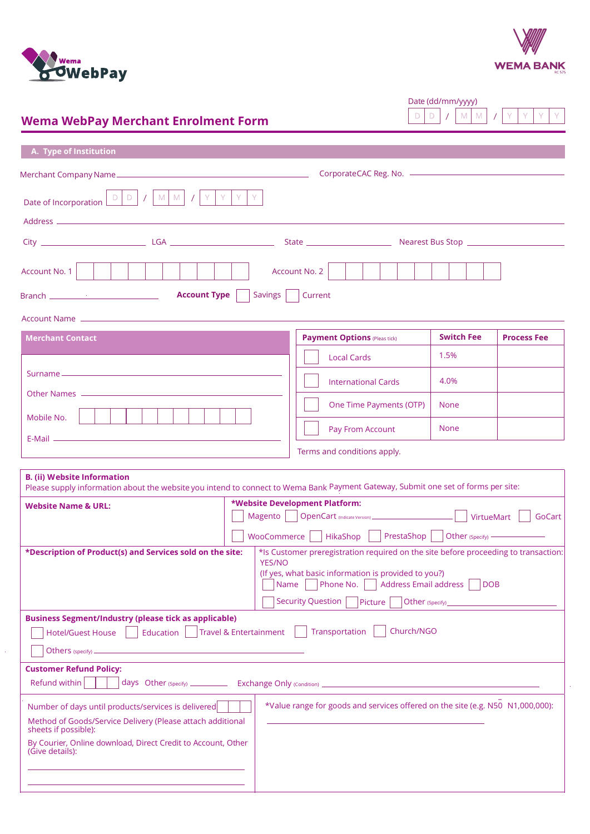



Ÿ  $\overline{1}$ 

V

Date (dd/mm/yyyy)

 $V$  M M

 $\overline{D}$  $\mathsf{D}^{\top}$ 

# **Wema WebPay Merchant Enrolment Form**

| A. Type of Institution                                                                                                                                                  |                                                                                                                                                                                                                                                     |                   |                    |
|-------------------------------------------------------------------------------------------------------------------------------------------------------------------------|-----------------------------------------------------------------------------------------------------------------------------------------------------------------------------------------------------------------------------------------------------|-------------------|--------------------|
|                                                                                                                                                                         |                                                                                                                                                                                                                                                     |                   |                    |
|                                                                                                                                                                         |                                                                                                                                                                                                                                                     |                   |                    |
| $M$ $M$<br>Y<br>Y.<br>Date of Incorporation $\boxed{\begin{array}{c c} \Box & \Box & \Box \end{array}}$ /<br>$\sqrt{ }$                                                 |                                                                                                                                                                                                                                                     |                   |                    |
|                                                                                                                                                                         |                                                                                                                                                                                                                                                     |                   |                    |
|                                                                                                                                                                         |                                                                                                                                                                                                                                                     |                   |                    |
| Account No. 1                                                                                                                                                           | Account No. 2                                                                                                                                                                                                                                       |                   |                    |
| <b>Account Type</b><br><b>Savings</b>                                                                                                                                   | Current                                                                                                                                                                                                                                             |                   |                    |
|                                                                                                                                                                         |                                                                                                                                                                                                                                                     |                   |                    |
| <b>Merchant Contact</b>                                                                                                                                                 | <b>Payment Options (Pleas tick)</b>                                                                                                                                                                                                                 | <b>Switch Fee</b> | <b>Process Fee</b> |
|                                                                                                                                                                         | <b>Local Cards</b>                                                                                                                                                                                                                                  | 1.5%              |                    |
|                                                                                                                                                                         | <b>International Cards</b>                                                                                                                                                                                                                          | 4.0%              |                    |
|                                                                                                                                                                         | One Time Payments (OTP)                                                                                                                                                                                                                             | <b>None</b>       |                    |
| Mobile No.                                                                                                                                                              |                                                                                                                                                                                                                                                     |                   |                    |
|                                                                                                                                                                         | Pay From Account                                                                                                                                                                                                                                    | <b>None</b>       |                    |
|                                                                                                                                                                         | Terms and conditions apply.                                                                                                                                                                                                                         |                   |                    |
| <b>B.</b> (ii) Website Information<br>Please supply information about the website you intend to connect to Wema Bank Payment Gateway, Submit one set of forms per site: |                                                                                                                                                                                                                                                     |                   |                    |
| <b>Website Name &amp; URL:</b>                                                                                                                                          | *Website Development Platform:                                                                                                                                                                                                                      |                   |                    |
|                                                                                                                                                                         | Magento   OpenCart (Indicate Version) ___________________________    VirtueMart                                                                                                                                                                     |                   | GoCart             |
|                                                                                                                                                                         | WooCommerce     HikaShop     PrestaShop     Other (Specify) ——                                                                                                                                                                                      |                   |                    |
| *Description of Product(s) and Services sold on the site:<br><b>YES/NO</b>                                                                                              | *Is Customer preregistration required on the site before proceeding to transaction:<br>(If yes, what basic information is provided to you?)<br>Phone No.<br>Address Email address<br>Name<br><b>Security Question</b><br>Picture<br>Other (Specify) | <b>DOB</b>        |                    |
| <b>Business Segment/Industry (please tick as applicable)</b>                                                                                                            |                                                                                                                                                                                                                                                     |                   |                    |
| <b>Travel &amp; Entertainment</b><br>Education<br><b>Hotel/Guest House</b>                                                                                              | Church/NGO<br>Transportation                                                                                                                                                                                                                        |                   |                    |
|                                                                                                                                                                         |                                                                                                                                                                                                                                                     |                   |                    |
| <b>Customer Refund Policy:</b><br>Refund within                                                                                                                         |                                                                                                                                                                                                                                                     |                   |                    |
| Number of days until products/services is delivered                                                                                                                     | *Value range for goods and services offered on the site (e.g. N50 N1,000,000):                                                                                                                                                                      |                   |                    |
| Method of Goods/Service Delivery (Please attach additional<br>sheets if possible):                                                                                      |                                                                                                                                                                                                                                                     |                   |                    |
| By Courier, Online download, Direct Credit to Account, Other<br>(Give details):                                                                                         |                                                                                                                                                                                                                                                     |                   |                    |
|                                                                                                                                                                         |                                                                                                                                                                                                                                                     |                   |                    |
|                                                                                                                                                                         |                                                                                                                                                                                                                                                     |                   |                    |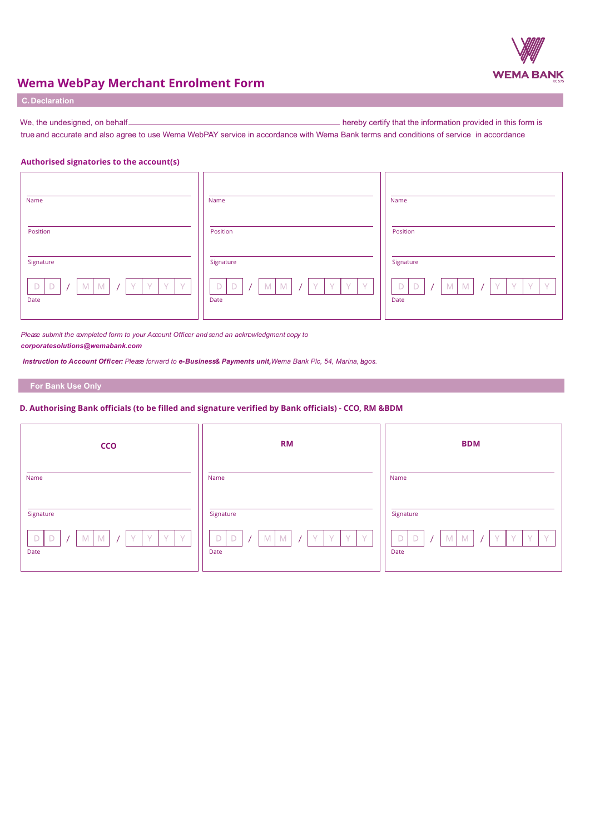

## **Wema WebPay Merchant Enrolment Form**

| <b>C. Declaration</b> |  |  |  |
|-----------------------|--|--|--|
|                       |  |  |  |

We, the undesigned, on behalf hereby certify that the information provided in this form is true and accurate and also agree to use Wema WebPAY service in accordance with Wema Bank terms and conditions of service in accordance

## **Authorised signatories to the account(s)**

| Name                                                                                               | Name                                                              | Name                                                                                                |
|----------------------------------------------------------------------------------------------------|-------------------------------------------------------------------|-----------------------------------------------------------------------------------------------------|
| Position                                                                                           | Position                                                          | Position                                                                                            |
| Signature                                                                                          | Signature                                                         | Signature                                                                                           |
| $\mathsf D$<br>$\Box$<br>$M$ $M$<br>$\vee$<br>V<br>Y<br>$\vee$<br>$\sqrt{ }$<br>$\sqrt{ }$<br>Date | M<br>M<br>$Y_{-1}$<br>D<br>$\mathsf D$<br>-V.<br><b>V</b><br>Date | $M$ $M$<br>Y.<br>Y<br>$\mathsf D$<br>$\vee$<br>$\Box$<br>$\vee$<br>$\sqrt{2}$<br>$\sqrt{ }$<br>Date |

*Please submit the completed form to your Account Officer and send an acknowledgment copy to corporatesolutions@wemabank.com*

*Instruction to Account Officer: Please forward to e-Business & Payments unit,Wema Bank Plc, 54, Marina, Lagos.*

### **For Bank Use Only**

### **D. Authorising Bank officials (to be filled and signature verified by Bank officials) - CCO, RM &BDM**

| CCO                                                                                                     | <b>RM</b>                                                  | <b>BDM</b>                                                       |
|---------------------------------------------------------------------------------------------------------|------------------------------------------------------------|------------------------------------------------------------------|
| Name                                                                                                    | Name                                                       | Name                                                             |
| Signature                                                                                               | Signature                                                  | Signature                                                        |
| <sup>Y</sup><br>D<br>$\mathsf D$<br>M <sub>1</sub><br>M<br>$\sqrt{}$<br>$\sqrt{}$<br>$\sqrt{ }$<br>Date | M<br>D<br>$\Box$<br>M<br>Y.<br>$\vee$<br>$\sqrt{}$<br>Date | M<br>M<br><b>V</b><br>D<br>Y.<br>$\Delta Z$<br>$\lambda$<br>Date |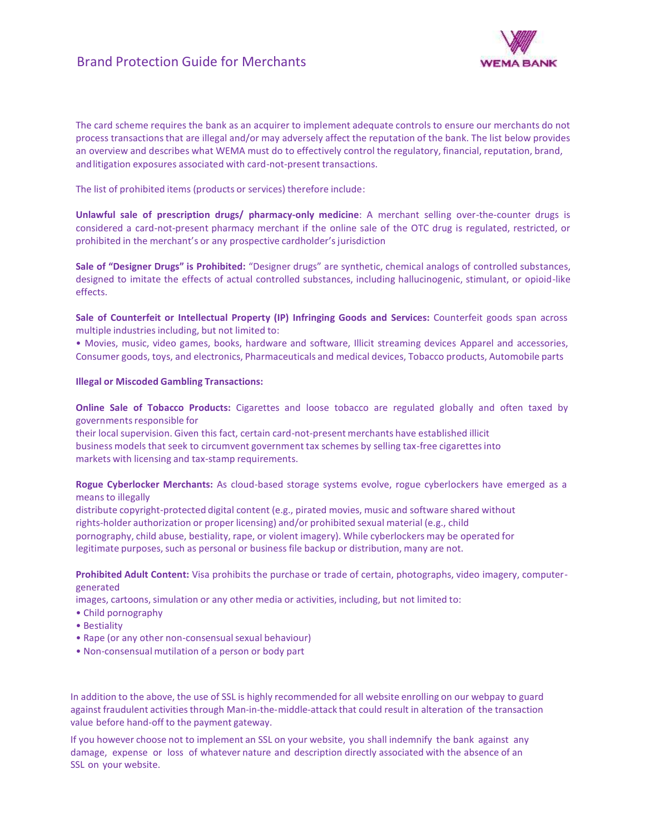## Brand Protection Guide for Merchants



The card scheme requires the bank as an acquirer to implement adequate controls to ensure our merchants do not<br>process transactions that are illegal and/or may adversely affect the reputation of the bank. The list below pr The card scheme requires the bank as an acquirer to implement adequate controls to ensure our merchants do not<br>process transactions that are illegal and/or may adversely affect the reputation of the bank. The list below pr The card scheme requires the bank as an acquirer to implement adequate controls to ensure our merchants do not<br>process transactions that are illegal and/or may adversely affect the reputation of the bank. The list below pr The card scheme requires the bank as an acquirer to implement adequate corprocess transactions that are illegal and/or may adversely affect the reputation an overview and describes what WEMA must do to effectively control

The list of prohibited items (products or services) therefore include:

**Unlawful sale of prescription drugs/ pharmacy-only medicine:** A merchant selling over-the-counter drugs is considered a card-not-present pharmacy merchant if the online sale of the OTC drug is regulated, restricted, or prohibited in the merchant's or any prospective cardholder's jurisdiction

**Sale of "Designer Drugs" is Prohibited:** "Designer drugs" are synthetic, chemical analogs of controlled substances, designed to imitate the effects of actual controlled substances, including hallucinogenic, stimulant, or opioid-like effects.

**Sale of Counterfeit or Intellectual Property (IP) Infringing Goods and Services:** Counterfeit goods span across multiple industries including, but not limited to:

• Movies, music, video games, books, hardware and software, Illicit streaming devices Apparel and accessories, Consumer goods, toys, and electronics, Pharmaceuticals and medical devices, Tobacco products, Automobile parts

### **Illegal or Miscoded Gambling Transactions:**

**Online Sale ofTobacco Products:** Cigarettes and loose tobacco are regulated globally and often taxed by governments responsible for

their local supervision. Given this fact, certain card-not-present merchants have established illicit business models that seek to circumvent government tax schemes by selling tax-free cigarettesinto markets with licensing and tax-stamp requirements.

**Rogue Cyberlocker Merchants:** As cloud-based storage systems evolve, rogue cyberlockers have emerged as a means to illegally

distribute copyright-protected digital content (e.g., pirated movies, music and software shared without rights-holder authorization or proper licensing) and/or prohibited sexual material (e.g., child pornography, child abuse, bestiality, rape, or violent imagery). While cyberlockers may be operated for legitimate purposes, such as personal or business file backup or distribution, many are not.

**Prohibited Adult Content:** Visa prohibits the purchase or trade of certain, photographs, video imagery, computergenerated

images, cartoons, simulation or any other media or activities, including, but not limited to:

- Child pornography
- Bestiality
- Rape (or any other non-consensual sexual behaviour)
- Non-consensual mutilation of a person or body part

• Rape (or any other non-consensual sexual behaviour)<br>• Non-consensual mutilation of a person or body part<br>In addition to the above, the use of SSL is highly recommended for all website enrolling on our webpay to guard<br>ag • Non-consensual mutilation of a person or body part<br>In addition to the above, the use of SSL is highly recommended for all website enrolling on our webpay to guard<br>against fraudulent activities through Man-in-the-middle-a In addition to the above, the use of SSL is highly recommen<br>against fraudulent activities through Man-in-the-middle-att<br>value before hand-off to the payment gateway.<br>If you however choose not to implement an SSL on your we In addition to the above, the use of SSL is highly recommended for all website enrolling on our webpay to guard<br>against fraudulent activities through Man-in-the-middle-attack that could result in alteration of the transact In addition to the above, the use of SSL is highly recommended for all website enrolling on our webpay to guard<br>against fraudulent activities through Man-in-the-middle-attack that could result in alteration of the transact

A against fraudulent activities throuvalue before hand-off to the payr<br>If you however choose not to imp<br>damage, expense or loss of wh<br>SSL on your website.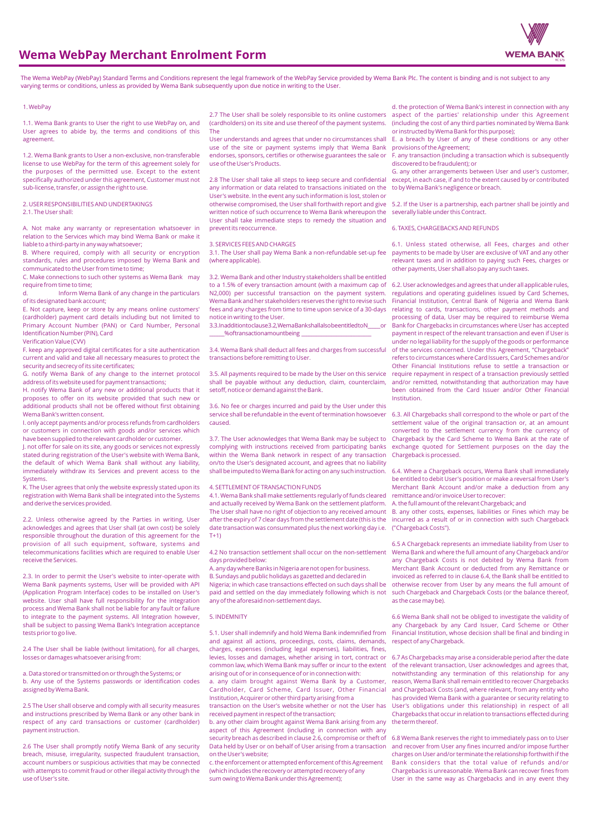

## **Wema WebPay Merchant Enrolment Form**

The Wema WebPay (WebPay) Standard Terms and Conditions represent the legal framework of the WebPay Service provided by Wema Bank Plc. The content is binding and is not subject to any varying terms or conditions, unless as provided by Wema Bank subsequently upon due notice in writing to the User.

#### 1. WebPay

1.1. Wema Bank grants to User the right to use WebPay on, and User agrees to abide by, the terms and conditions of this agreement.

1.2. Wema Bank grants to User a non-exclusive, non-transferable license to use WebPay for the term of this agreement solely for the purposes of the permitted use. Except to the extent specifically authorized under this agreement, Customer must not sub-license, transfer, or assign the right to use.

## 2. USER RESPONSIBILITIES AND UNDERTAKINGS

2.1. The User shall:

A. Not make any warranty or representation whatsoever in relation to the Services which may bind Wema Bank or make it liable to a third-party in any way whatsoever;

B. Where required, comply with all security or encryption standards, rules and procedures imposed by Wema Bank and communicated to the User from time to time;

C. Make connections to such other systems as Wema Bank may require from time to time;

d. Inform Wema Bank of any change in the particulars of its designated bank account;

E. Not capture, keep or store by any means online customers' (cardholder) payment card details including but not limited to Primary Account Number (PAN) or Card Number, Personal Identification Number (PIN), Card

Verification Value (CVV)

F. keep any approved digital certificates for a site authentication current and valid and take all necessary measures to protect the security and secrecy of its site certificates;

G. notify Wema Bank of any change to the internet protocol address of its website used for payment transactions;

H. notify Wema Bank of any new or additional products that it proposes to offer on its website provided that such new or additional products shall not be offered without first obtaining Wema Bank's written consent.

I. only accept payments and/or process refunds from cardholders or customers in connection with goods and/or services which have been supplied to the relevant cardholder or customer.

J. not offer for sale on its site, any goods or services not expressly stated during registration of the User's website with Wema Bank, the default of which Wema Bank shall without any liability, immediately withdraw its Services and prevent access to the Systems.

K. The User agrees that only the website expressly stated upon its registration with Wema Bank shall be integrated into the Systems and derive the services provided.

2.2. Unless otherwise agreed by the Parties in writing, User acknowledges and agrees that User shall (at own cost) be solely responsible throughout the duration of this agreement for the provision of all such equipment, software, systems and telecommunications facilities which are required to enable User receive the Services.

2.3. In order to permit the User's website to inter-operate with Wema Bank payments systems, User will be provided with API (Application Program Interface) codes to be installed on User's website. User shall have full responsibility for the integration process and Wema Bank shall not be liable for any fault or failure to integrate to the payment systems. All Integration however, shall be subject to passing Wema Bank's Integration acceptance tests prior to go live.

2.4 The User shall be liable (without limitation), for all charges, losses or damages whatsoever arising from:

a. Data stored or transmitted on or through the Systems; or b. Any use of the Systems passwords or identification codes assigned by Wema Bank.

2.5 The User shall observe and comply with all security measures and instructions prescribed by Wema Bank or any other bank in respect of any card transactions or customer (cardholder) payment instruction.

2.6 The User shall promptly notify Wema Bank of any security breach, misuse, irregularity, suspected fraudulent transaction, account numbers or suspicious activities that may be connected with attempts to commit fraud or other illegal activity through the use of User's site.

2.7 The User shall be solely responsible to its online customers (cardholders) on its site and use thereof of the payment systems. The

User understands and agrees that under no circumstances shall use of the site or payment systems imply that Wema Bank endorses, sponsors, certifies or otherwise guarantees the sale or use of the User's Products.

2.8 The User shall take all steps to keep secure and confidential any information or data related to transactions initiated on the User's website. In the event any such information is lost, stolen or otherwise compromised, the User shall forthwith report and give written notice of such occurrence to Wema Bank whereupon the User shall take immediate steps to remedy the situation and prevent its reoccurrence.

#### 3. SERVICES FEES AND CHARGES

3.1. The User shall pay Wema Bank a non-refundable set-up fee (where applicable).

3.2. Wema Bank and other Industry stakeholders shall be entitled to a 1.5% of every transaction amount (with a maximum cap of N2,000) per successful transaction on the payment system. Wema Bank and her stakeholders reserves the right to revise such fees and any charges from time to time upon service of a 30-days notice in writing to the User.

3.3. In addition to clause 3.2 Wema Bank shall also be entitled to N \_\_\_\_\_\_% of transaction amount being \_\_\_\_\_\_\_\_\_\_\_\_\_\_\_\_\_\_\_\_\_\_\_\_\_\_\_\_

3.4. Wema Bank shall deduct all fees and charges from successful transactions before remitting to User.

3.5. All payments required to be made by the User on this service shall be payable without any deduction, claim, counterclaim, setoff, notice or demand against the Bank.

3.6. No fee or charges incurred and paid by the User under this service shall be refundable in the event of termination howsoever caused.

3.7. The User acknowledges that Wema Bank may be subject to complying with instructions received from participating banks within the Wema Bank network in respect of any transaction on/to the User's designated account, and agrees that no liability shall be imputed to Wema Bank for acting on any such instruction.

#### 4. SETTLEMENT OF TRANSACTION FUNDS

4.1. Wema Bank shall make settlements regularly of funds cleared and actually received by Wema Bank on the settlement platform. The User shall have no right of objection to any received amount after the expiry of 7 clear days from the settlement date (this is the date transaction was consummated plus the next working day i.e. T+1)

4.2 No transaction settlement shall occur on the non-settlement days provided below:

A. any day where Banks in Nigeria are not open for business. B. Sundays and public holidays as gazetted and declared in Nigeria; in which case transactions effected on such days shall be paid and settled on the day immediately following which is not any of the aforesaid non-settlement days.

#### 5. INDEMNITY

5.1. User shall indemnify and hold Wema Bank indemnified from and against all actions, proceedings, costs, claims, demands, charges, expenses (including legal expenses), liabilities, fines, levies, losses and damages, whether arising in tort, contract or common law, which Wema Bank may suffer or incur to the extent arising out of or in consequence of or in connection with:

a. any claim brought against Wema Bank by a Customer, Cardholder, Card Scheme, Card Issuer, Other Financial Institution, Acquirer or other third party arising from a transaction on the User's website whether or not the User has

received payment in respect of the transaction; b. any other claim brought against Wema Bank arising from any

aspect of this Agreement (including in connection with any security breach as described in clause 2.6, compromise or theft of Data held by User or on behalf of User arising from a transaction on the User's website;

c. the enforcement or attempted enforcement of this Agreement (which includes the recovery or attempted recovery of any sum owing to Wema Bank under this Agreement);

d. the protection of Wema Bank's interest in connection with any aspect of the parties' relationship under this Agreement (including the cost of any third parties nominated by Wema Bank or instructed by Wema Bank for this purpose);

E. a breach by User of any of these conditions or any other provisions of the Agreement;

F. any transaction (including a transaction which is subsequently discovered to be fraudulent); or

G. any other arrangements between User and user's customer, except, in each case, if and to the extent caused by or contributed to by Wema Bank's negligence or breach.

5.2. If the User is a partnership, each partner shall be jointly and severally liable under this Contract.

#### 6. TAXES, CHARGEBACKS AND REFUNDS

6.1. Unless stated otherwise, all Fees, charges and other payments to be made by User are exclusive of VAT and any other relevant taxes and in addition to paying such Fees, charges or other payments, User shall also pay any such taxes.

6.2. User acknowledges and agrees that under all applicable rules, regulations and operating guidelines issued by Card Schemes, Financial Institution, Central Bank of Nigeria and Wema Bank relating to cards, transactions, other payment methods and processing of data, User may be required to reimburse Wema Bank for Chargebacks in circumstances where User has accepted payment in respect of the relevant transaction and even if User is under no legal liability for the supply of the goods or performance of the services concerned. Under this Agreement, "Chargeback" refers to circumstances where Card Issuers, Card Schemes and/or Other Financial Institutions refuse to settle a transaction or require repayment in respect of a transaction previously settled and/or remitted, notwithstanding that authorization may have been obtained from the Card Issuer and/or Other Financial Institution.

6.3. All Chargebacks shall correspond to the whole or part of the settlement value of the original transaction or, at an amount converted to the settlement currency from the currency of Chargeback by the Card Scheme to Wema Bank at the rate of exchange quoted for Settlement purposes on the day the Chargeback is processed.

6.4. Where a Chargeback occurs, Wema Bank shall immediately be entitled to debit User's position or make a reversal from User's Merchant Bank Account and/or make a deduction from any remittance and/or invoice User to recover:

A. the full amount of the relevant Chargeback; and

B. any other costs, expenses, liabilities or Fines which may be incurred as a result of or in connection with such Chargeback ("Chargeback Costs").

6.5 A Chargeback represents an immediate liability from User to Wema Bank and where the full amount of any Chargeback and/or any Chargeback Costs is not debited by Wema Bank from Merchant Bank Account or deducted from any Remittance or invoiced as referred to in clause 6.4, the Bank shall be entitled to otherwise recover from User by any means the full amount of such Chargeback and Chargeback Costs (or the balance thereof, as the case may be).

6.6 Wema Bank shall not be obliged to investigate the validity of any Chargeback by any Card Issuer, Card Scheme or Other Financial Institution, whose decision shall be final and binding in respect of any Chargeback.

6.7 As Chargebacks may arise a considerable period after the date of the relevant transaction, User acknowledges and agrees that, notwithstanding any termination of this relationship for any reason, Wema Bank shall remain entitled to recover Chargebacks and Chargeback Costs (and, where relevant, from any entity who has provided Wema Bank with a guarantee or security relating to User's obligations under this relationship) in respect of all Chargebacks that occur in relation to transactions effected during the term thereof.

6.8 Wema Bank reserves the right to immediately pass on to User and recover from User any fines incurred and/or impose further charges on User and/or terminate the relationship forthwith if the Bank considers that the total value of refunds and/or Chargebacks is unreasonable. Wema Bank can recover fines from User in the same way as Chargebacks and in any event they